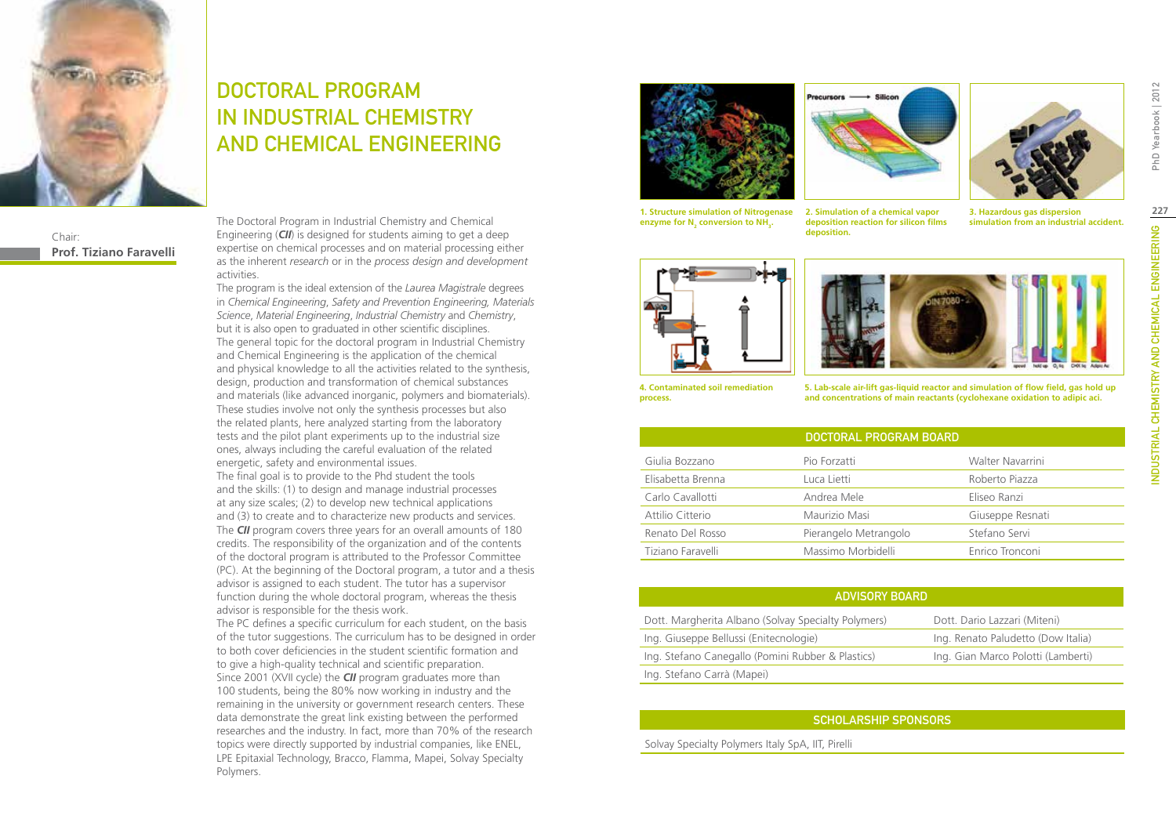

Chair: **Prof. Tiziano Faravelli**

# DOCTORAL PROGRAM IN INDUSTRIAL CHEMISTRY AND CHEMICAL ENGINEERING

The Doctoral Program in Industrial Chemistry and Chemical Engineering (*CII*) is designed for students aiming to get a deep expertise on chemical processes and on material processing either as the inherent *research* or in the *process design and development*  activities.

The program is the ideal extension of the *Laurea Magistrale* degrees in *Chemical Engineering*, *Safety and Prevention Engineering, Materials Science*, *Material Engineering*, *Industrial Chemistry* and *Chemistry*, but it is also open to graduated in other scientific disciplines. The general topic for the doctoral program in Industrial Chemistry and Chemical Engineering is the application of the chemical and physical knowledge to all the activities related to the synthesis, design, production and transformation of chemical substances and materials (like advanced inorganic, polymers and biomaterials). These studies involve not only the synthesis processes but also the related plants, here analyzed starting from the laboratory tests and the pilot plant experiments up to the industrial size ones, always including the careful evaluation of the related energetic, safety and environmental issues. The final goal is to provide to the Phd student the tools and the skills: (1) to design and manage industrial processes at any size scales; (2) to develop new technical applications and (3) to create and to characterize new products and services. The *CII* program covers three years for an overall amounts of 180 credits. The responsibility of the organization and of the contents of the doctoral program is attributed to the Professor Committee (PC). At the beginning of the Doctoral program, a tutor and a thesis advisor is assigned to each student. The tutor has a supervisor function during the whole doctoral program, whereas the thesis advisor is responsible for the thesis work. The PC defines a specific curriculum for each student, on the basis

of the tutor suggestions. The curriculum has to be designed in order to both cover deficiencies in the student scientific formation and to give a high-quality technical and scientific preparation. Since 2001 (XVII cycle) the *CII* program graduates more than 100 students, being the 80% now working in industry and the remaining in the university or government research centers. These data demonstrate the great link existing between the performed researches and the industry. In fact, more than 70% of the research topics were directly supported by industrial companies, like ENEL, LPE Epitaxial Technology, Bracco, Flamma, Mapei, Solvay Specialty Polymers.







**1. Structure simulation of Nitrogenase**  enzyme for N<sub>2</sub> conversion to NH<sub>3</sub>.

**2. Simulation of a chemical vapor deposition reaction for silicon films deposition.**

**3. Hazardous gas dispersion simulation from an industrial accident.**





**4. Contaminated soil remediation process.**

**5. Lab-scale air-lift gas-liquid reactor and simulation of flow field, gas hold up and concentrations of main reactants (cyclohexane oxidation to adipic aci.**

|                   | DOCTORAL PROGRAM BOARD |                  |
|-------------------|------------------------|------------------|
| Giulia Bozzano    | Pio Forzatti           | Walter Navarrini |
| Elisabetta Brenna | Luca Lietti            | Roberto Piazza   |
| Carlo Cavallotti  | Andrea Mele            | Eliseo Ranzi     |
| Attilio Citterio  | Maurizio Masi          | Giuseppe Resnati |
| Renato Del Rosso  | Pierangelo Metrangolo  | Stefano Servi    |
| Tiziano Faravelli | Massimo Morbidelli     | Enrico Tronconi  |

#### Advisory Board

| Dott. Margherita Albano (Solvay Specialty Polymers) | Dott. Dario Lazzari (Miteni)       |
|-----------------------------------------------------|------------------------------------|
| Ing. Giuseppe Bellussi (Enitecnologie)              | Ing. Renato Paludetto (Dow Italia) |
| Ing. Stefano Canegallo (Pomini Rubber & Plastics)   | Ing. Gian Marco Polotti (Lamberti) |
| Ing. Stefano Carrà (Mapei)                          |                                    |

## Scholarship Sponsors

Solvay Specialty Polymers Italy SpA, IIT, Pirelli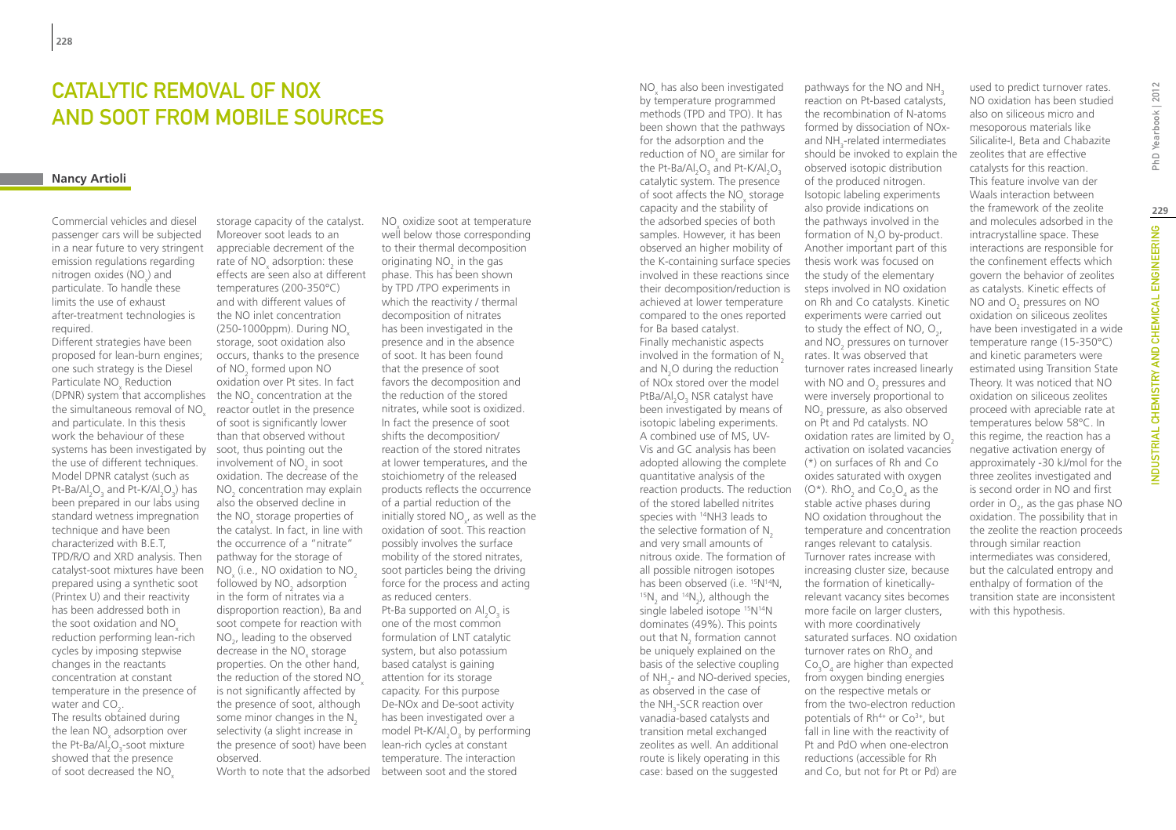# Catalytic removal of NOx and soot from mobile sources

#### **Nancy Artioli**

Commercial vehicles and diesel passenger cars will be subjected in a near future to very stringent emission regulations regarding nitrogen oxides (NO<sub>x</sub>) and particulate. To handle these limits the use of exhaust after-treatment technologies is required.

(DPNR) system that accomplishes the  $NO<sub>2</sub>$  concentration at the systems has been investigated by soot, thus pointing out the Different strategies have been proposed for lean-burn engines; one such strategy is the Diesel Particulate  $NO<sub>x</sub>$  Reduction the simultaneous removal of NO<sub>x</sub> and particulate. In this thesis work the behaviour of these the use of different techniques. Model DPNR catalyst (such as Pt-Ba/Al<sub>2</sub>O<sub>3</sub> and Pt-K/Al<sub>2</sub>O<sub>3</sub>) has been prepared in our labs using standard wetness impregnation technique and have been characterized with B.E.T, TPD/R/O and XRD analysis. Then catalyst-soot mixtures have been prepared using a synthetic soot (Printex U) and their reactivity has been addressed both in the soot oxidation and NO<sub>x</sub> reduction performing lean-rich cycles by imposing stepwise changes in the reactants concentration at constant temperature in the presence of water and  $CO_{2}$ . The results obtained during the lean  $NO_x$  adsorption over the Pt-Ba/Al<sub>2</sub>O<sub>3</sub>-soot mixture showed that the presence of soot decreased the NO

storage capacity of the catalyst. Moreover soot leads to an appreciable decrement of the rate of  $NO<sub>x</sub>$  adsorption: these effects are seen also at different temperatures (200-350°C) and with different values of the NO inlet concentration (250-1000ppm). During NO<sub>v</sub> storage, soot oxidation also occurs, thanks to the presence of NO<sub>2</sub> formed upon NO oxidation over Pt sites. In fact reactor outlet in the presence of soot is significantly lower than that observed without involvement of  $NO<sub>2</sub>$  in soot oxidation. The decrease of the  $NO<sub>2</sub>$  concentration may explain also the observed decline in the NO<sub>x</sub> storage properties of the catalyst. In fact, in line with the occurrence of a "nitrate" pathway for the storage of  $NO<sub>x</sub>$  (i.e., NO oxidation to  $NO<sub>2</sub>$ followed by  $NO<sub>2</sub>$  adsorption in the form of nitrates via a disproportion reaction), Ba and soot compete for reaction with  $NO<sub>2</sub>$ , leading to the observed decrease in the  $NO<sub>x</sub>$  storage properties. On the other hand, the reduction of the stored NO is not significantly affected by the presence of soot, although some minor changes in the  $N<sub>2</sub>$ selectivity (a slight increase in the presence of soot) have been observed.

NO<sub>x</sub> oxidize soot at temperature well below those corresponding to their thermal decomposition originating  $NO<sub>2</sub>$  in the gas phase. This has been shown by TPD /TPO experiments in which the reactivity / thermal decomposition of nitrates has been investigated in the presence and in the absence of soot. It has been found that the presence of soot favors the decomposition and the reduction of the stored nitrates, while soot is oxidized. In fact the presence of soot shifts the decomposition/ reaction of the stored nitrates at lower temperatures, and the stoichiometry of the released products reflects the occurrence of a partial reduction of the initially stored  $NO_{x}$ , as well as the oxidation of soot. This reaction possibly involves the surface mobility of the stored nitrates, soot particles being the driving force for the process and acting as reduced centers. Pt-Ba supported on  $\text{Al}_2\text{O}_3$  is one of the most common formulation of LNT catalytic system, but also potassium based catalyst is gaining attention for its storage capacity. For this purpose De-NOx and De-soot activity has been investigated over a model Pt-K/Al $_2$ O $_3$  by performing lean-rich cycles at constant temperature. The interaction Worth to note that the adsorbed between soot and the stored

reaction products. The reduction  $(0^*)$ . RhO<sub>2</sub> and Co<sub>3</sub>O<sub>4</sub> as the  $NO<sub>x</sub>$  has also been investigated by temperature programmed methods (TPD and TPO). It has been shown that the pathways for the adsorption and the reduction of  $NO_x$  are similar for the Pt-Ba/Al $_{2}$ O $_{3}$  and Pt-K/Al $_{2}$ O $_{3}$ catalytic system. The presence of soot affects the  $NO_x$  storage capacity and the stability of the adsorbed species of both samples. However, it has been observed an higher mobility of the K-containing surface species involved in these reactions since their decomposition/reduction is achieved at lower temperature compared to the ones reported for Ba based catalyst. Finally mechanistic aspects involved in the formation of  $N<sub>2</sub>$ and  $N_2$ O during the reduction of NOx stored over the model PtBa/Al<sub>2</sub>O<sub>3</sub> NSR catalyst have been investigated by means of isotopic labeling experiments. A combined use of MS, UV-Vis and GC analysis has been adopted allowing the complete quantitative analysis of the of the stored labelled nitrites species with <sup>14</sup>NH3 leads to the selective formation of  $N<sub>2</sub>$ and very small amounts of nitrous oxide. The formation of all possible nitrogen isotopes has been observed (i.e. <sup>15</sup>N<sup>14</sup>N,<br><sup>15</sup>N<sub>2</sub> and <sup>14</sup>N<sub>2</sub>), although the single labeled isotope <sup>15</sup>N<sup>14</sup>N dominates (49%). This points out that  $N_2$  formation cannot be uniquely explained on the basis of the selective coupling of NH<sub>3</sub>- and NO-derived species, as observed in the case of

the NH<sub>3</sub>-SCR reaction over vanadia-based catalysts and transition metal exchanged zeolites as well. An additional route is likely operating in this case: based on the suggested

pathways for the NO and NH<sub>3</sub> reaction on Pt-based catalysts, the recombination of N-atoms formed by dissociation of NOxand  $NH<sub>3</sub>$ -related intermediates should be invoked to explain the observed isotopic distribution of the produced nitrogen. Isotopic labeling experiments also provide indications on the pathways involved in the formation of  $N_2O$  by-product. Another important part of this thesis work was focused on the study of the elementary steps involved in NO oxidation on Rh and Co catalysts. Kinetic experiments were carried out to study the effect of NO,  $O_{2'}$ and  $NO<sub>2</sub>$  pressures on turnover rates. It was observed that turnover rates increased linearly with NO and  $O_2$  pressures and were inversely proportional to NO<sub>2</sub> pressure, as also observed on Pt and Pd catalysts. NO oxidation rates are limited by O<sub>2</sub> activation on isolated vacancies (\*) on surfaces of Rh and Co oxides saturated with oxygen stable active phases during NO oxidation throughout the temperature and concentration ranges relevant to catalysis. Turnover rates increase with increasing cluster size, because the formation of kineticallyrelevant vacancy sites becomes more facile on larger clusters, with more coordinatively saturated surfaces. NO oxidation turnover rates on  $RhO<sub>2</sub>$  and  $Co<sub>3</sub>O<sub>4</sub>$  are higher than expected from oxygen binding energies on the respective metals or from the two-electron reduction potentials of  $Rh^{4+}$  or  $Co^{3+}$ , but fall in line with the reactivity of Pt and PdO when one-electron reductions (accessible for Rh and Co, but not for Pt or Pd) are

used to predict turnover rates. NO oxidation has been studied also on siliceous micro and mesoporous materials like Silicalite-I, Beta and Chabazite zeolites that are effective catalysts for this reaction. This feature involve van der Waals interaction between the framework of the zeolite and molecules adsorbed in the intracrystalline space. These interactions are responsible for the confinement effects which govern the behavior of zeolites as catalysts. Kinetic effects of NO and  $O_2$  pressures on NO oxidation on siliceous zeolites have been investigated in a wide temperature range (15-350°C) and kinetic parameters were estimated using Transition State Theory. It was noticed that NO oxidation on siliceous zeolites proceed with apreciable rate at temperatures below 58°C. In this regime, the reaction has a negative activation energy of approximately -30 kJ/mol for the three zeolites investigated and is second order in NO and first order in  $O_{2}$ , as the gas phase NO oxidation. The possibility that in the zeolite the reaction proceeds through similar reaction intermediates was considered, but the calculated entropy and enthalpy of formation of the transition state are inconsistent with this hypothesis.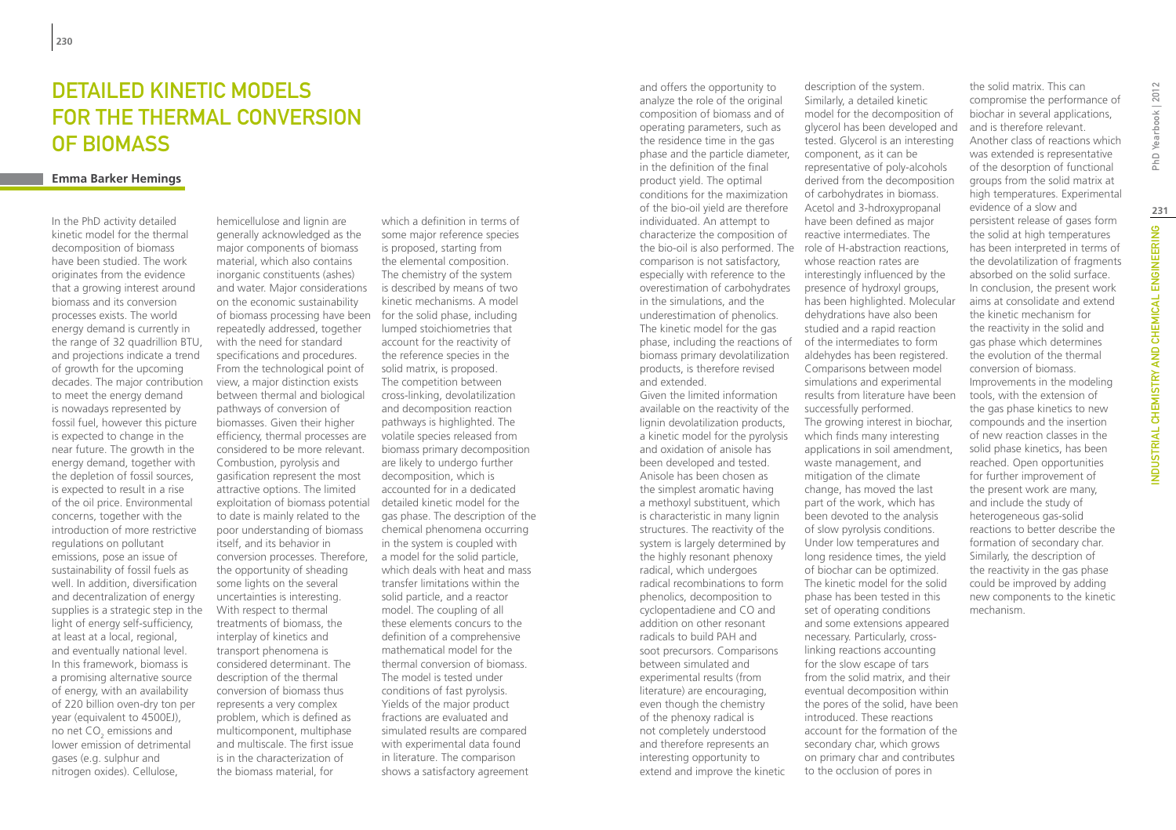# DETAILED KINETIC MODELS for the thermal conversion of biomass

### **Emma Barker Hemings**

In the PhD activity detailed kinetic model for the thermal decomposition of biomass have been studied. The work originates from the evidence that a growing interest around biomass and its conversion processes exists. The world energy demand is currently in the range of 32 quadrillion BTU, and projections indicate a trend of growth for the upcoming decades. The major contribution to meet the energy demand is nowadays represented by fossil fuel, however this picture is expected to change in the near future. The growth in the energy demand, together with the depletion of fossil sources, is expected to result in a rise of the oil price. Environmental concerns, together with the introduction of more restrictive regulations on pollutant emissions, pose an issue of sustainability of fossil fuels as well. In addition, diversification and decentralization of energy supplies is a strategic step in the light of energy self-sufficiency, at least at a local, regional, and eventually national level. In this framework, biomass is a promising alternative source of energy, with an availability of 220 billion oven-dry ton per year (equivalent to 4500EJ), no net  $CO<sub>2</sub>$  emissions and lower emission of detrimental gases (e.g. sulphur and nitrogen oxides). Cellulose,

hemicellulose and lignin are generally acknowledged as the major components of biomass material, which also contains inorganic constituents (ashes) and water. Major considerations on the economic sustainability of biomass processing have been for the solid phase, including repeatedly addressed, together with the need for standard specifications and procedures. From the technological point of view, a major distinction exists between thermal and biological pathways of conversion of biomasses. Given their higher efficiency, thermal processes are considered to be more relevant. Combustion, pyrolysis and gasification represent the most attractive options. The limited exploitation of biomass potential to date is mainly related to the poor understanding of biomass itself, and its behavior in conversion processes. Therefore, the opportunity of sheading some lights on the several uncertainties is interesting. With respect to thermal treatments of biomass, the interplay of kinetics and transport phenomena is considered determinant. The description of the thermal conversion of biomass thus represents a very complex problem, which is defined as multicomponent, multiphase and multiscale. The first issue is in the characterization of the biomass material, for

which a definition in terms of some major reference species is proposed, starting from the elemental composition. The chemistry of the system is described by means of two kinetic mechanisms. A model lumped stoichiometries that account for the reactivity of the reference species in the solid matrix, is proposed. The competition between cross-linking, devolatilization and decomposition reaction pathways is highlighted. The volatile species released from biomass primary decomposition are likely to undergo further decomposition, which is accounted for in a dedicated detailed kinetic model for the gas phase. The description of the chemical phenomena occurring in the system is coupled with a model for the solid particle, which deals with heat and mass transfer limitations within the solid particle, and a reactor model. The coupling of all these elements concurs to the definition of a comprehensive mathematical model for the thermal conversion of biomass. The model is tested under conditions of fast pyrolysis. Yields of the major product fractions are evaluated and simulated results are compared with experimental data found in literature. The comparison shows a satisfactory agreement

and offers the opportunity to analyze the role of the original composition of biomass and of operating parameters, such as the residence time in the gas phase and the particle diameter, in the definition of the final product yield. The optimal conditions for the maximization of the bio-oil yield are therefore individuated. An attempt to characterize the composition of comparison is not satisfactory, especially with reference to the overestimation of carbohydrates in the simulations, and the underestimation of phenolics. The kinetic model for the gas phase, including the reactions of biomass primary devolatilization products, is therefore revised and extended. Given the limited information available on the reactivity of the lignin devolatilization products, a kinetic model for the pyrolysis and oxidation of anisole has been developed and tested. Anisole has been chosen as the simplest aromatic having a methoxyl substituent, which

radical, which undergoes

radicals to build PAH and

between simulated and

of the phenoxy radical is

interesting opportunity to

the bio-oil is also performed. The role of H-abstraction reactions, is characteristic in many lignin structures. The reactivity of the system is largely determined by the highly resonant phenoxy radical recombinations to form phenolics, decomposition to cyclopentadiene and CO and addition on other resonant soot precursors. Comparisons experimental results (from literature) are encouraging, even though the chemistry not completely understood and therefore represents an extend and improve the kinetic of carbohydrates in biomass. Acetol and 3-hdroxypropanal have been defined as major reactive intermediates. The whose reaction rates are interestingly influenced by the presence of hydroxyl groups, has been highlighted. Molecular dehydrations have also been studied and a rapid reaction of the intermediates to form aldehydes has been registered. Comparisons between model simulations and experimental results from literature have been successfully performed. The growing interest in biochar, which finds many interesting applications in soil amendment, waste management, and mitigation of the climate change, has moved the last part of the work, which has been devoted to the analysis of slow pyrolysis conditions. Under low temperatures and long residence times, the yield of biochar can be optimized. The kinetic model for the solid phase has been tested in this set of operating conditions and some extensions appeared necessary. Particularly, crosslinking reactions accounting for the slow escape of tars from the solid matrix, and their eventual decomposition within the pores of the solid, have been introduced. These reactions account for the formation of the secondary char, which grows on primary char and contributes to the occlusion of pores in

description of the system. Similarly, a detailed kinetic model for the decomposition of glycerol has been developed and tested. Glycerol is an interesting component, as it can be representative of poly-alcohols derived from the decomposition

the solid matrix. This can compromise the performance of biochar in several applications, and is therefore relevant. Another class of reactions which was extended is representative of the desorption of functional groups from the solid matrix at high temperatures. Experimental evidence of a slow and persistent release of gases form the solid at high temperatures has been interpreted in terms of the devolatilization of fragments absorbed on the solid surface. In conclusion, the present work aims at consolidate and extend the kinetic mechanism for the reactivity in the solid and gas phase which determines the evolution of the thermal conversion of biomass. Improvements in the modeling tools, with the extension of the gas phase kinetics to new compounds and the insertion of new reaction classes in the solid phase kinetics, has been reached. Open opportunities for further improvement of the present work are many, and include the study of heterogeneous gas-solid reactions to better describe the formation of secondary char. Similarly, the description of the reactivity in the gas phase could be improved by adding new components to the kinetic mechanism.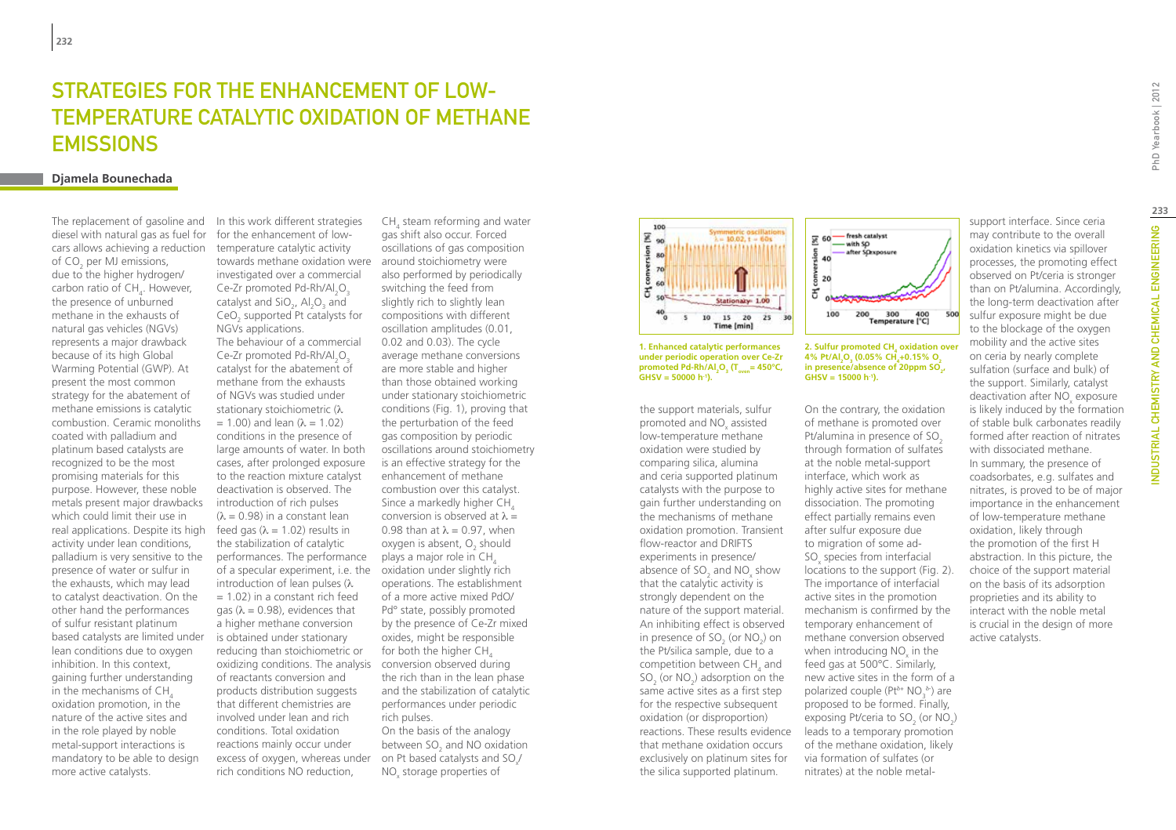# Strategies for the enhancement of lowtemperature catalytic oxidation of methane **EMISSIONS**

### **Djamela Bounechada**

The replacement of gasoline and diesel with natural gas as fuel for cars allows achieving a reduction of CO<sub>2</sub> per MJ emissions, due to the higher hydrogen/ carbon ratio of  $CH_4$ . However, the presence of unburned methane in the exhausts of natural gas vehicles (NGVs) represents a major drawback because of its high Global Warming Potential (GWP). At present the most common strategy for the abatement of methane emissions is catalytic combustion. Ceramic monoliths coated with palladium and platinum based catalysts are recognized to be the most promising materials for this purpose. However, these noble metals present major drawbacks which could limit their use in real applications. Despite its high activity under lean conditions, palladium is very sensitive to the presence of water or sulfur in the exhausts, which may lead to catalyst deactivation. On the other hand the performances of sulfur resistant platinum based catalysts are limited under lean conditions due to oxygen inhibition. In this context, gaining further understanding in the mechanisms of CH. oxidation promotion, in the nature of the active sites and in the role played by noble metal-support interactions is mandatory to be able to design more active catalysts.

In this work different strategies for the enhancement of lowtemperature catalytic activity towards methane oxidation were around stoichiometry were investigated over a commercial Ce-Zr promoted Pd-Rh/Al<sub>2</sub>O<sub>3</sub> catalyst and  $\text{SiO}_2$ ,  $\text{Al}_2\text{O}_3$  and  $\text{CeO}_2$  supported Pt catalysts for NGVs applications. The behaviour of a commercial Ce-Zr promoted Pd-Rh/Al<sub>2</sub>O<sub>3</sub> catalyst for the abatement of methane from the exhausts of NGVs was studied under stationary stoichiometric (λ  $= 1.00$ ) and lean ( $\lambda = 1.02$ ) conditions in the presence of large amounts of water. In both cases, after prolonged exposure to the reaction mixture catalyst deactivation is observed. The introduction of rich pulses  $(λ = 0.98)$  in a constant lean feed gas ( $\lambda = 1.02$ ) results in the stabilization of catalytic performances. The performance of a specular experiment, i.e. the oxidation under slightly rich introduction of lean pulses (λ  $= 1.02$ ) in a constant rich feed gas ( $\lambda = 0.98$ ), evidences that a higher methane conversion is obtained under stationary reducing than stoichiometric or oxidizing conditions. The analysis conversion observed during of reactants conversion and products distribution suggests that different chemistries are involved under lean and rich conditions. Total oxidation reactions mainly occur under excess of oxygen, whereas under  $\Box$  on Pt based catalysts and SO<sub>x</sub>/ rich conditions NO reduction,

 $CH<sub>4</sub>$  steam reforming and water gas shift also occur. Forced oscillations of gas composition also performed by periodically switching the feed from slightly rich to slightly lean compositions with different oscillation amplitudes (0.01, 0.02 and 0.03). The cycle average methane conversions are more stable and higher than those obtained working under stationary stoichiometric conditions (Fig. 1), proving that the perturbation of the feed gas composition by periodic oscillations around stoichiometry is an effective strategy for the enhancement of methane combustion over this catalyst. Since a markedly higher CH<sub>4</sub> conversion is observed at  $\lambda =$ 0.98 than at  $\lambda = 0.97$ , when oxygen is absent,  $\mathrm{O}_2$  should plays a major role in  $CH<sub>4</sub>$ operations. The establishment of a more active mixed PdO/ Pd° state, possibly promoted by the presence of Ce-Zr mixed oxides, might be responsible for both the higher CH. the rich than in the lean phase and the stabilization of catalytic performances under periodic rich pulses. On the basis of the analogy

between SO $_{2}$  and NO oxidation NO<sub>x</sub> storage properties of



**1. Enhanced catalytic performances under periodic operation over Ce-Zr**   $\mu_{\text{p}}$  promoted Pd-Rh/Al<sub>2</sub>O<sub>3</sub> (T<sub>oven</sub>= 450°C, **GHSV = 50000 h-1).**

the support materials, sulfur promoted and  $NO_{x}$  assisted low-temperature methane oxidation were studied by comparing silica, alumina and ceria supported platinum catalysts with the purpose to gain further understanding on the mechanisms of methane oxidation promotion. Transient flow-reactor and DRIFTS experiments in presence/ absence of  $SO_2$  and  $NO_x$  show that the catalytic activity is strongly dependent on the nature of the support material. An inhibiting effect is observed in presence of  $SO_2$  (or  $NO_2$ ) on the Pt/silica sample, due to a competition between  $\text{CH}_4$  and  $SO_2$  (or  $NO_2$ ) adsorption on the same active sites as a first step for the respective subsequent oxidation (or disproportion) reactions. These results evidence that methane oxidation occurs exclusively on platinum sites for the silica supported platinum.



**2. Sulfur promoted CH4 oxidation over 4% Pt/Al2 O3 (0.05% CH4 +0.15% O2** in presence/absence of 20ppm SO<sub>2</sub>, **GHSV = 15000 h-1).**

On the contrary, the oxidation of methane is promoted over Pt/alumina in presence of SO<sub>2</sub> through formation of sulfates at the noble metal-support interface, which work as highly active sites for methane dissociation. The promoting effect partially remains even after sulfur exposure due to migration of some ad- $SO_{x}$  species from interfacial locations to the support (Fig. 2). The importance of interfacial active sites in the promotion mechanism is confirmed by the temporary enhancement of methane conversion observed when introducing  $NO<sub>x</sub>$  in the feed gas at 500°C. Similarly, new active sites in the form of a polarized couple ( $Pt^{\delta+} NO_3^{\delta-}$ ) are proposed to be formed. Finally, exposing Pt/ceria to  $SO_2$  (or  $NO_2$ ) leads to a temporary promotion of the methane oxidation, likely via formation of sulfates (or nitrates) at the noble metalsupport interface. Since ceria may contribute to the overall oxidation kinetics via spillover processes, the promoting effect observed on Pt/ceria is stronger than on Pt/alumina. Accordingly, the long-term deactivation after sulfur exposure might be due to the blockage of the oxygen mobility and the active sites on ceria by nearly complete sulfation (surface and bulk) of the support. Similarly, catalyst deactivation after NO<sub>x</sub> exposure is likely induced by the formation of stable bulk carbonates readily formed after reaction of nitrates with dissociated methane. In summary, the presence of coadsorbates, e.g. sulfates and nitrates, is proved to be of major importance in the enhancement of low-temperature methane oxidation, likely through the promotion of the first H

abstraction. In this picture, the choice of the support material on the basis of its adsorption proprieties and its ability to interact with the noble metal is crucial in the design of more

active catalysts.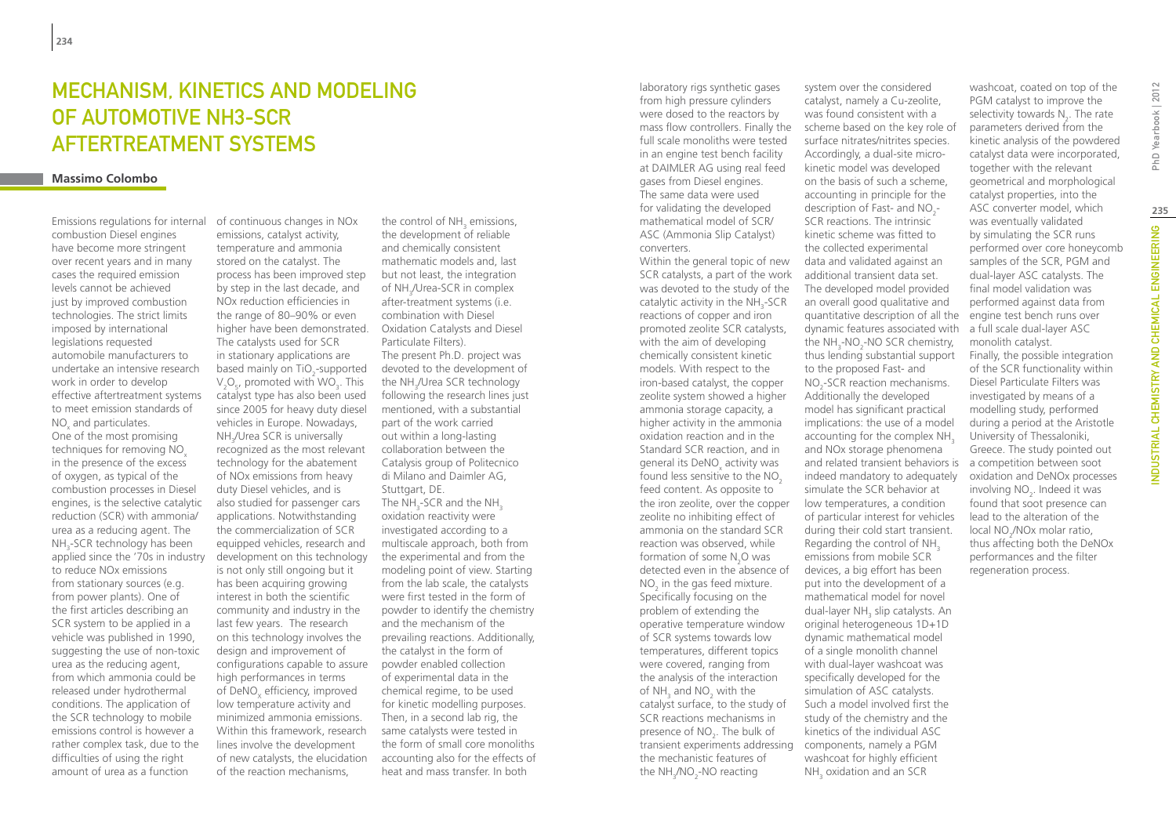# Mechanism, kinetics and modeling of automotive NH3-SCR aftertreatment systems

#### **Massimo Colombo**

Emissions regulations for internal combustion Diesel engines have become more stringent over recent years and in many cases the required emission levels cannot be achieved just by improved combustion technologies. The strict limits imposed by international legislations requested automobile manufacturers to undertake an intensive research work in order to develop effective aftertreatment systems to meet emission standards of  $NO<sub>x</sub>$  and particulates. One of the most promising techniques for removing NO<sub>x</sub> in the presence of the excess of oxygen, as typical of the combustion processes in Diesel engines, is the selective catalytic reduction (SCR) with ammonia/ urea as a reducing agent. The NH<sub>3</sub>-SCR technology has been applied since the '70s in industry to reduce NOx emissions from stationary sources (e.g. from power plants). One of the first articles describing an SCR system to be applied in a vehicle was published in 1990, suggesting the use of non-toxic urea as the reducing agent, from which ammonia could be released under hydrothermal conditions. The application of the SCR technology to mobile emissions control is however a rather complex task, due to the difficulties of using the right amount of urea as a function

of continuous changes in NOx emissions, catalyst activity, temperature and ammonia stored on the catalyst. The process has been improved step by step in the last decade, and NOx reduction efficiencies in the range of 80–90% or even higher have been demonstrated. The catalysts used for SCR in stationary applications are based mainly on TiO<sub>2</sub>-supported  $V_2O_5$ , promoted with WO<sub>3</sub>. This catalyst type has also been used since 2005 for heavy duty diesel vehicles in Europe. Nowadays, NH3 /Urea SCR is universally recognized as the most relevant technology for the abatement of NOx emissions from heavy duty Diesel vehicles, and is also studied for passenger cars applications. Notwithstanding the commercialization of SCR equipped vehicles, research and development on this technology is not only still ongoing but it has been acquiring growing interest in both the scientific community and industry in the last few years. The research on this technology involves the design and improvement of configurations capable to assure high performances in terms of DeNO<sub>v</sub> efficiency, improved low temperature activity and minimized ammonia emissions. Within this framework, research lines involve the development of new catalysts, the elucidation of the reaction mechanisms,

the control of NH<sub>3</sub> emissions, the development of reliable and chemically consistent mathematic models and, last but not least, the integration of NH<sub>3</sub>/Urea-SCR in complex after-treatment systems (i.e. combination with Diesel Oxidation Catalysts and Diesel Particulate Filters). The present Ph.D. project was devoted to the development of the NH<sub>3</sub>/Urea SCR technology following the research lines just mentioned, with a substantial part of the work carried out within a long-lasting collaboration between the Catalysis group of Politecnico di Milano and Daimler AG, Stuttgart, DE. The NH $_{\text{3}}$ -SCR and the NH $_{\text{3}}$ oxidation reactivity were investigated according to a multiscale approach, both from the experimental and from the modeling point of view. Starting from the lab scale, the catalysts were first tested in the form of powder to identify the chemistry and the mechanism of the prevailing reactions. Additionally, the catalyst in the form of powder enabled collection of experimental data in the chemical regime, to be used for kinetic modelling purposes. Then, in a second lab rig, the same catalysts were tested in the form of small core monoliths accounting also for the effects of heat and mass transfer. In both

laboratory rigs synthetic gases from high pressure cylinders were dosed to the reactors by full scale monoliths were tested in an engine test bench facility at DAIMLER AG using real feed gases from Diesel engines. The same data were used for validating the developed mathematical model of SCR/ ASC (Ammonia Slip Catalyst) converters.

Within the general topic of new SCR catalysts, a part of the work was devoted to the study of the catalytic activity in the  $NH_{3}$ -SCR reactions of copper and iron promoted zeolite SCR catalysts, with the aim of developing chemically consistent kinetic models. With respect to the iron-based catalyst, the copper zeolite system showed a higher ammonia storage capacity, a higher activity in the ammonia oxidation reaction and in the Standard SCR reaction, and in general its DeNO<sub>x</sub> activity was found less sensitive to the NO<sub>2</sub> feed content. As opposite to the iron zeolite, over the copper zeolite no inhibiting effect of ammonia on the standard SCR reaction was observed, while formation of some  $N_2$ O was detected even in the absence of  $NO<sub>2</sub>$  in the gas feed mixture. Specifically focusing on the problem of extending the operative temperature window of SCR systems towards low temperatures, different topics were covered, ranging from the analysis of the interaction of NH<sub>3</sub> and  $NO_2$  with the catalyst surface, to the study of SCR reactions mechanisms in presence of  $NO<sub>2</sub>$ . The bulk of transient experiments addressing components, namely a PGM the mechanistic features of the  $NH_{3}/NO_{2}$ -NO reacting

mass flow controllers. Finally the scheme based on the key role of catalyst, namely a Cu-zeolite, was found consistent with a surface nitrates/nitrites species. Accordingly, a dual-site microkinetic model was developed on the basis of such a scheme, accounting in principle for the description of Fast- and  $NO<sub>2</sub>$ -SCR reactions. The intrinsic kinetic scheme was fitted to the collected experimental data and validated against an additional transient data set. The developed model provided an overall good qualitative and quantitative description of all the dynamic features associated with the  $NH<sub>3</sub>-NO<sub>2</sub>-NO$  SCR chemistry, thus lending substantial support to the proposed Fast- and NO<sub>2</sub>-SCR reaction mechanisms. Additionally the developed model has significant practical implications: the use of a model accounting for the complex NH<sub>3</sub> and NOx storage phenomena and related transient behaviors is indeed mandatory to adequately simulate the SCR behavior at low temperatures, a condition of particular interest for vehicles during their cold start transient. Regarding the control of NH<sub>3</sub> emissions from mobile SCR devices, a big effort has been put into the development of a mathematical model for novel dual-layer NH<sub>3</sub> slip catalysts. An original heterogeneous 1D+1D dynamic mathematical model of a single monolith channel with dual-layer washcoat was specifically developed for the simulation of ASC catalysts. Such a model involved first the study of the chemistry and the kinetics of the individual ASC washcoat for highly efficient  $NH<sub>3</sub>$  oxidation and an SCR

system over the considered

PGM catalyst to improve the selectivity towards  $N_{2}$ . The rate parameters derived from the kinetic analysis of the powdered catalyst data were incorporated, together with the relevant geometrical and morphological catalyst properties, into the ASC converter model, which was eventually validated by simulating the SCR runs performed over core honeycomb samples of the SCR, PGM and dual-layer ASC catalysts. The final model validation was performed against data from engine test bench runs over a full scale dual-layer ASC monolith catalyst. Finally, the possible integration of the SCR functionality within Diesel Particulate Filters was investigated by means of a modelling study, performed during a period at the Aristotle University of Thessaloniki, Greece. The study pointed out a competition between soot oxidation and DeNOx processes involving  $NO<sub>2</sub>$ . Indeed it was found that soot presence can lead to the alteration of the local NO<sub>2</sub>/NOx molar ratio, thus affecting both the DeNOx performances and the filter regeneration process.

washcoat, coated on top of the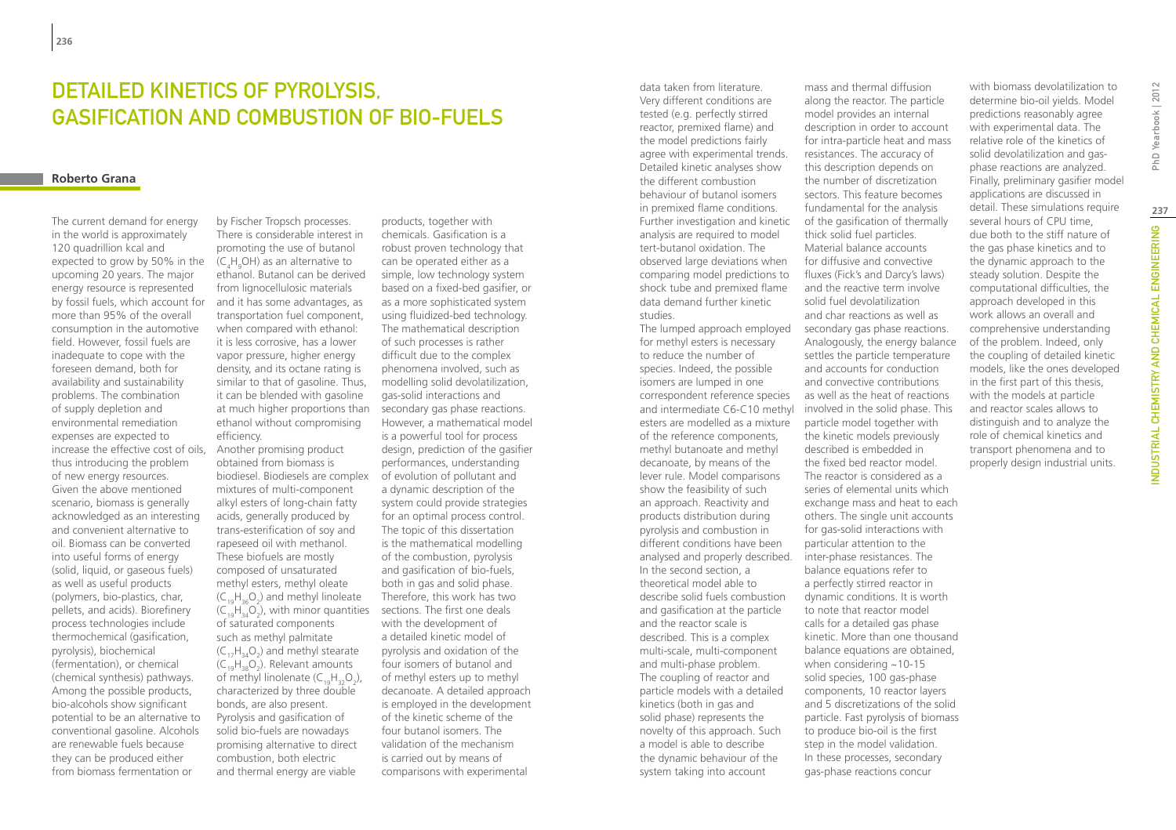# Detailed kinetics of pyrolysis, gasification and combustion of bio-fuels

#### **Roberto Grana**

The current demand for energy in the world is approximately 120 quadrillion kcal and expected to grow by 50% in the upcoming 20 years. The major energy resource is represented by fossil fuels, which account for more than 95% of the overall consumption in the automotive field. However, fossil fuels are inadequate to cope with the foreseen demand, both for availability and sustainability problems. The combination of supply depletion and environmental remediation expenses are expected to increase the effective cost of oils, thus introducing the problem of new energy resources. Given the above mentioned scenario, biomass is generally acknowledged as an interesting and convenient alternative to oil. Biomass can be converted into useful forms of energy (solid, liquid, or gaseous fuels) as well as useful products (polymers, bio-plastics, char, pellets, and acids). Biorefinery process technologies include thermochemical (gasification, pyrolysis), biochemical (fermentation), or chemical (chemical synthesis) pathways. Among the possible products, bio-alcohols show significant potential to be an alternative to conventional gasoline. Alcohols are renewable fuels because they can be produced either from biomass fermentation or

by Fischer Tropsch processes. There is considerable interest in promoting the use of butanol (C<sub>4</sub>H<sub>9</sub>OH) as an alternative to ethanol. Butanol can be derived from lignocellulosic materials and it has some advantages, as transportation fuel component, when compared with ethanol: it is less corrosive, has a lower vapor pressure, higher energy density, and its octane rating is similar to that of gasoline. Thus, it can be blended with gasoline at much higher proportions than ethanol without compromising efficiency.

Another promising product obtained from biomass is biodiesel. Biodiesels are complex mixtures of multi-component alkyl esters of long-chain fatty acids, generally produced by trans-esterification of soy and rapeseed oil with methanol. These biofuels are mostly composed of unsaturated methyl esters, methyl oleate  $(C_{19}H_{36}O_2)$  and methyl linoleate  $(C_{19}H_{34}O_2)$ , with minor quantities of saturated components such as methyl palmitate  $(C_{17}H_{34}O_2)$  and methyl stearate  $(C_{19}H_{38}O_2)$ . Relevant amounts of methyl linolenate  $(C_{19}H_{32}O_2)$ , characterized by three double bonds, are also present. Pyrolysis and gasification of solid bio-fuels are nowadays promising alternative to direct combustion, both electric and thermal energy are viable

products, together with chemicals. Gasification is a robust proven technology that can be operated either as a simple, low technology system based on a fixed-bed gasifier, or as a more sophisticated system using fluidized-bed technology. The mathematical description of such processes is rather difficult due to the complex phenomena involved, such as modelling solid devolatilization, gas-solid interactions and secondary gas phase reactions. However, a mathematical model is a powerful tool for process design, prediction of the gasifier performances, understanding of evolution of pollutant and a dynamic description of the system could provide strategies for an optimal process control. The topic of this dissertation is the mathematical modelling of the combustion, pyrolysis and gasification of bio-fuels, both in gas and solid phase. Therefore, this work has two sections. The first one deals with the development of a detailed kinetic model of pyrolysis and oxidation of the four isomers of butanol and of methyl esters up to methyl decanoate. A detailed approach is employed in the development of the kinetic scheme of the four butanol isomers. The validation of the mechanism is carried out by means of comparisons with experimental

data taken from literature. Very different conditions are tested (e.g. perfectly stirred reactor, premixed flame) and the model predictions fairly agree with experimental trends. Detailed kinetic analyses show the different combustion behaviour of butanol isomers in premixed flame conditions. Further investigation and kinetic analysis are required to model tert-butanol oxidation. The observed large deviations when comparing model predictions to shock tube and premixed flame data demand further kinetic studies.

The lumped approach employed for methyl esters is necessary to reduce the number of species. Indeed, the possible isomers are lumped in one correspondent reference species and intermediate C6-C10 methyl involved in the solid phase. This esters are modelled as a mixture of the reference components, methyl butanoate and methyl decanoate, by means of the lever rule. Model comparisons show the feasibility of such an approach. Reactivity and products distribution during pyrolysis and combustion in different conditions have been analysed and properly described. In the second section, a theoretical model able to describe solid fuels combustion and gasification at the particle and the reactor scale is described. This is a complex multi-scale, multi-component and multi-phase problem. The coupling of reactor and particle models with a detailed kinetics (both in gas and solid phase) represents the novelty of this approach. Such a model is able to describe the dynamic behaviour of the system taking into account

mass and thermal diffusion along the reactor. The particle model provides an internal description in order to account for intra-particle heat and mass resistances. The accuracy of this description depends on the number of discretization sectors. This feature becomes fundamental for the analysis of the gasification of thermally thick solid fuel particles. Material balance accounts for diffusive and convective fluxes (Fick's and Darcy's laws) and the reactive term involve solid fuel devolatilization and char reactions as well as secondary gas phase reactions. Analogously, the energy balance settles the particle temperature and accounts for conduction and convective contributions as well as the heat of reactions particle model together with the kinetic models previously described is embedded in the fixed bed reactor model. The reactor is considered as a series of elemental units which exchange mass and heat to each others. The single unit accounts for gas-solid interactions with particular attention to the inter-phase resistances. The balance equations refer to

a perfectly stirred reactor in dynamic conditions. It is worth to note that reactor model calls for a detailed gas phase kinetic. More than one thousand balance equations are obtained, when considering  $~10-15$ solid species, 100 gas-phase components, 10 reactor layers and 5 discretizations of the solid particle. Fast pyrolysis of biomass to produce bio-oil is the first step in the model validation. In these processes, secondary gas-phase reactions concur

with biomass devolatilization to determine bio-oil yields. Model predictions reasonably agree with experimental data. The relative role of the kinetics of solid devolatilization and gasphase reactions are analyzed. Finally, preliminary gasifier model applications are discussed in detail. These simulations require several hours of CPU time, due both to the stiff nature of the gas phase kinetics and to the dynamic approach to the steady solution. Despite the computational difficulties, the approach developed in this work allows an overall and comprehensive understanding of the problem. Indeed, only the coupling of detailed kinetic models, like the ones developed in the first part of this thesis, with the models at particle and reactor scales allows to distinguish and to analyze the role of chemical kinetics and transport phenomena and to properly design industrial units.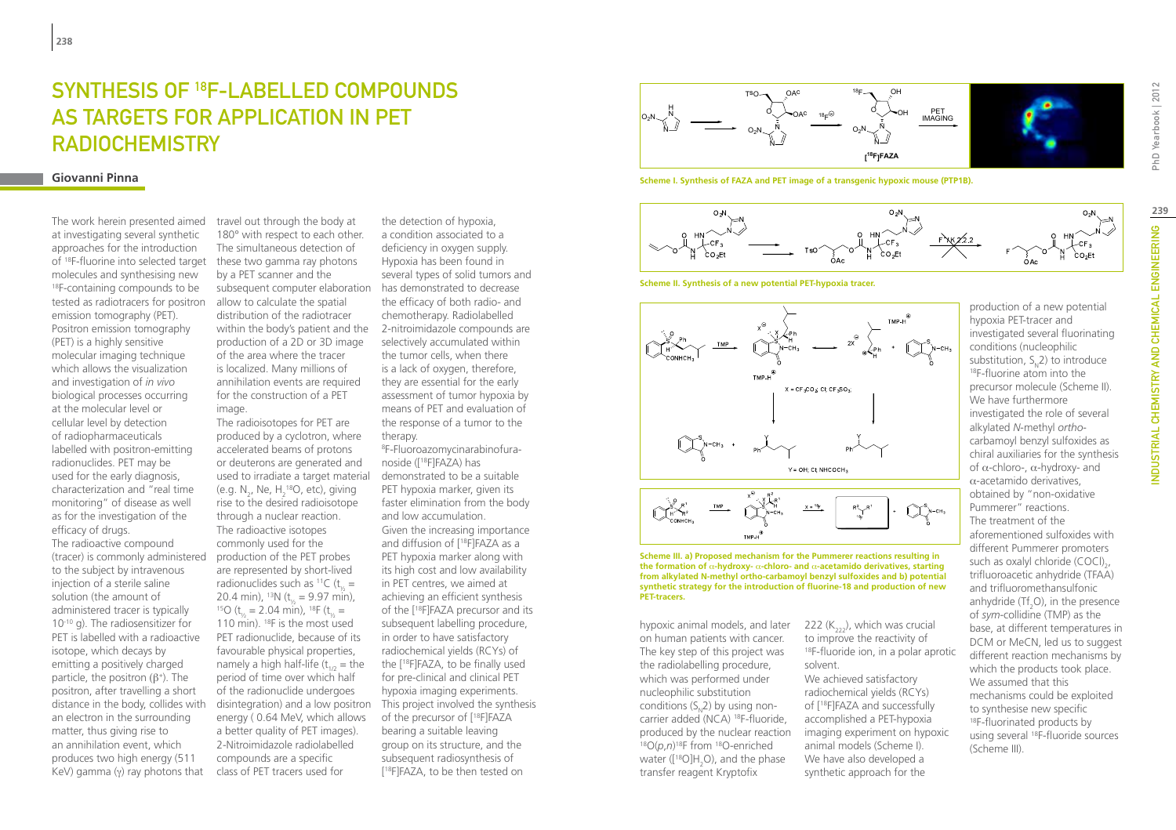# SYNTHESIS OF 18F-LABELLED COMPOUNDS AS TARGETS FOR APPLICATION IN PET RADIOCHEMISTRY

#### **Giovanni Pinna**

The work herein presented aimed at investigating several synthetic approaches for the introduction of 18F-fluorine into selected target these two gamma ray photons molecules and synthesising new 18F-containing compounds to be tested as radiotracers for positron emission tomography (PET). Positron emission tomography (PET) is a highly sensitive molecular imaging technique which allows the visualization and investigation of *in vivo* biological processes occurring at the molecular level or cellular level by detection of radiopharmaceuticals labelled with positron-emitting radionuclides. PET may be used for the early diagnosis, characterization and "real time monitoring" of disease as well as for the investigation of the efficacy of drugs. The radioactive compound (tracer) is commonly administered to the subject by intravenous injection of a sterile saline solution (the amount of administered tracer is typically 10-10 g). The radiosensitizer for PET is labelled with a radioactive isotope, which decays by emitting a positively charged particle, the positron  $(\beta^+)$ . The positron, after travelling a short distance in the body, collides with an electron in the surrounding matter, thus giving rise to an annihilation event, which produces two high energy (511 KeV) gamma (γ) ray photons that

travel out through the body at 180° with respect to each other. The simultaneous detection of by a PET scanner and the subsequent computer elaboration allow to calculate the spatial distribution of the radiotracer within the body's patient and the production of a 2D or 3D image of the area where the tracer is localized. Many millions of annihilation events are required for the construction of a PET image.

The radioisotopes for PET are produced by a cyclotron, where accelerated beams of protons or deuterons are generated and used to irradiate a target material (e.g.  $N_2$ , Ne,  $H_2^{\text{18}}O$ , etc), giving rise to the desired radioisotope through a nuclear reaction. The radioactive isotopes commonly used for the production of the PET probes are represented by short-lived radionuclides such as <sup>11</sup>C ( $t_{1/2}$  = 20.4 min), <sup>13</sup>N ( $t_{1/2}$  = 9.97 min),  $2.04 \text{ min}$ ,  $18\text{ F}$  (t<sub>y</sub> = 110 min).  $^{18}$ F is the most used PET radionuclide, because of its favourable physical properties, namely a high half-life  $(t_{1/2} =$  the period of time over which half of the radionuclide undergoes energy ( 0.64 MeV, which allows a better quality of PET images). 2-Nitroimidazole radiolabelled compounds are a specific class of PET tracers used for

the detection of hypoxia, a condition associated to a deficiency in oxygen supply. Hypoxia has been found in several types of solid tumors and has demonstrated to decrease the efficacy of both radio- and chemotherapy. Radiolabelled 2-nitroimidazole compounds are selectively accumulated within the tumor cells, when there is a lack of oxygen, therefore, they are essential for the early assessment of tumor hypoxia by means of PET and evaluation of the response of a tumor to the therapy.

disintegration) and a low positron This project involved the synthesis 8 F-Fluoroazomycinarabinofuranoside ([18F]FAZA) has demonstrated to be a suitable PET hypoxia marker, given its faster elimination from the body and low accumulation. Given the increasing importance and diffusion of [18F]FAZA as a PET hypoxia marker along with its high cost and low availability in PET centres, we aimed at achieving an efficient synthesis of the [18F]FAZA precursor and its subsequent labelling procedure, in order to have satisfactory radiochemical yields (RCYs) of the [18F]FAZA, to be finally used for pre-clinical and clinical PET hypoxia imaging experiments. of the precursor of [18F]FAZA bearing a suitable leaving group on its structure, and the subsequent radiosynthesis of [ 18F]FAZA, to be then tested on



**Scheme I. Synthesis of FAZA and PET image of a transgenic hypoxic mouse (PTP1B).**



**Scheme II. Synthesis of a new potential PET-hypoxia tracer.**





#### **Scheme III. a) Proposed mechanism for the Pummerer reactions resulting in the formation of** α**-hydroxy-** α**-chloro- and** α**-acetamido derivatives, starting from alkylated N-methyl ortho-carbamoyl benzyl sulfoxides and b) potential synthetic strategy for the introduction of fluorine-18 and production of new PET-tracers.**

hypoxic animal models, and later on human patients with cancer. The key step of this project was the radiolabelling procedure, which was performed under nucleophilic substitution conditions  $(S_2, 2)$  by using noncarrier added (NCA) <sup>18</sup>F-fluoride, produced by the nuclear reaction <sup>18</sup>O(*p*,*n*)<sup>18</sup>F from <sup>18</sup>O-enriched water ([<sup>18</sup>O]H<sub>2</sub>O), and the phase transfer reagent Kryptofix

222  $(K_{222})$ , which was crucial to improve the reactivity of <sup>18</sup>F-fluoride ion, in a polar aprotic

We achieved satisfactory radiochemical yields (RCYs) of [18F]FAZA and successfully accomplished a PET-hypoxia imaging experiment on hypoxic animal models (Scheme I). We have also developed a synthetic approach for the

production of a new potential hypoxia PET-tracer and investigated several fluorinating conditions (nucleophilic substitution,  $S_{N}$ 2) to introduce<br><sup>18</sup>F-fluorine atom into the precursor molecule (Scheme II). We have furthermore investigated the role of several alkylated *N*-methyl *ortho*carbamoyl benzyl sulfoxides as chiral auxiliaries for the synthesis of α-chloro-, α-hydroxy- and α-acetamido derivatives, obtained by "non-oxidative Pummerer" reactions. The treatment of the aforementioned sulfoxides with different Pummerer promoters such as oxalyl chloride (COCl)<sub>2</sub>, trifluoroacetic anhydride (TFAA) and trifluoromethansulfonic

anhydride (Tf<sub>2</sub>O), in the presence of *sym*-collidine (TMP) as the base, at different temperatures in DCM or MeCN, led us to suggest different reaction mechanisms by which the products took place. We assumed that this mechanisms could be exploited to synthesise new specific 18F-fluorinated products by using several 18F-fluoride sources (Scheme III).

PhD Yearbook | 2012

solvent.